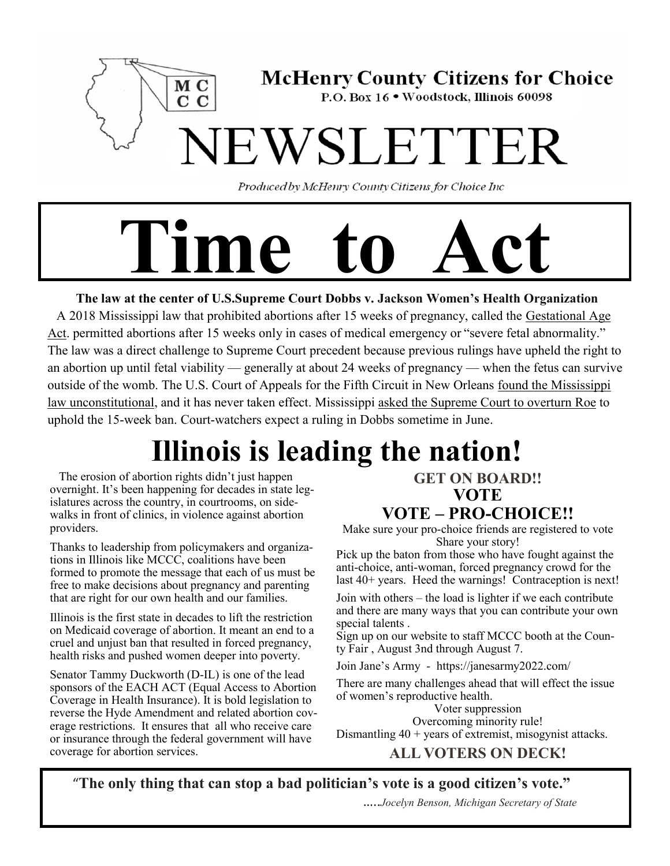

Produced by McHenry County Citizens for Choice Inc

# **Time to Act**

 **The law at the center of U.S.Supreme Court Dobbs v. Jackson Women's Health Organization** A 2018 Mississippi law that prohibited abortions after 15 weeks of pregnancy, called the [Gestational Age](https://law.justia.com/codes/mississippi/2018/title-41/chapter-41/gestational-age-act/section-41-41-191/)  [Act.](https://law.justia.com/codes/mississippi/2018/title-41/chapter-41/gestational-age-act/section-41-41-191/) permitted abortions after 15 weeks only in cases of medical emergency or "severe fetal abnormality." The law was a direct challenge to Supreme Court precedent because previous rulings have upheld the right to an abortion up until fetal viability — generally at about 24 weeks of pregnancy — when the fetus can survive outside of the womb. The U.S. Court of Appeals for the Fifth Circuit in New Orleans [found the Mississippi](https://law.justia.com/cases/federal/appellate-courts/ca5/19-60455/19-60455-2020-02-20.html)  [law unconstitutional,](https://law.justia.com/cases/federal/appellate-courts/ca5/19-60455/19-60455-2020-02-20.html) and it has never taken effect. Mississippi [asked the Supreme Court to overturn Roe](https://mississippitoday.org/2021/07/26/lynn-fitch-asks-u-s-supreme-court-to-overturn-roe-v-wade/) to

uphold the 15-week ban. Court-watchers expect a ruling in Dobbs sometime in June.

# **Illinois is leading the nation!**

 The erosion of abortion rights didn't just happen overnight. It's been happening for decades in state legislatures across the country, in courtrooms, on sidewalks in front of clinics, in violence against abortion providers.

Thanks to leadership from policymakers and organizations in Illinois like MCCC, coalitions have been formed to promote the message that each of us must be free to make decisions about pregnancy and parenting that are right for our own health and our families.

Illinois is the first state in decades to lift the restriction on Medicaid coverage of abortion. It meant an end to a cruel and unjust ban that resulted in forced pregnancy, health risks and pushed women deeper into poverty.

Senator Tammy Duckworth (D-IL) is one of the lead sponsors of the EACH ACT (Equal Access to Abortion Coverage in Health Insurance). It is bold legislation to reverse the Hyde Amendment and related abortion coverage restrictions. It ensures that all who receive care or insurance through the federal government will have coverage for abortion services.

# **GET ON BOARD!! VOTE**

# **VOTE – PRO-CHOICE!!**

Make sure your pro-choice friends are registered to vote Share your story!

Pick up the baton from those who have fought against the anti-choice, anti-woman, forced pregnancy crowd for the last 40+ years. Heed the warnings! Contraception is next!

Join with others – the load is lighter if we each contribute and there are many ways that you can contribute your own special talents .

Sign up on our website to staff MCCC booth at the County Fair , August 3nd through August 7.

Join Jane's Army - https://janesarmy2022.com/

There are many challenges ahead that will effect the issue of women's reproductive health.

Voter suppression Overcoming minority rule! Dismantling 40 + years of extremist, misogynist attacks.

# **ALL VOTERS ON DECK!**

"**The only thing that can stop a bad politician's vote is a good citizen's vote."**

…..*Jocelyn Benson, Michigan Secretary of State*